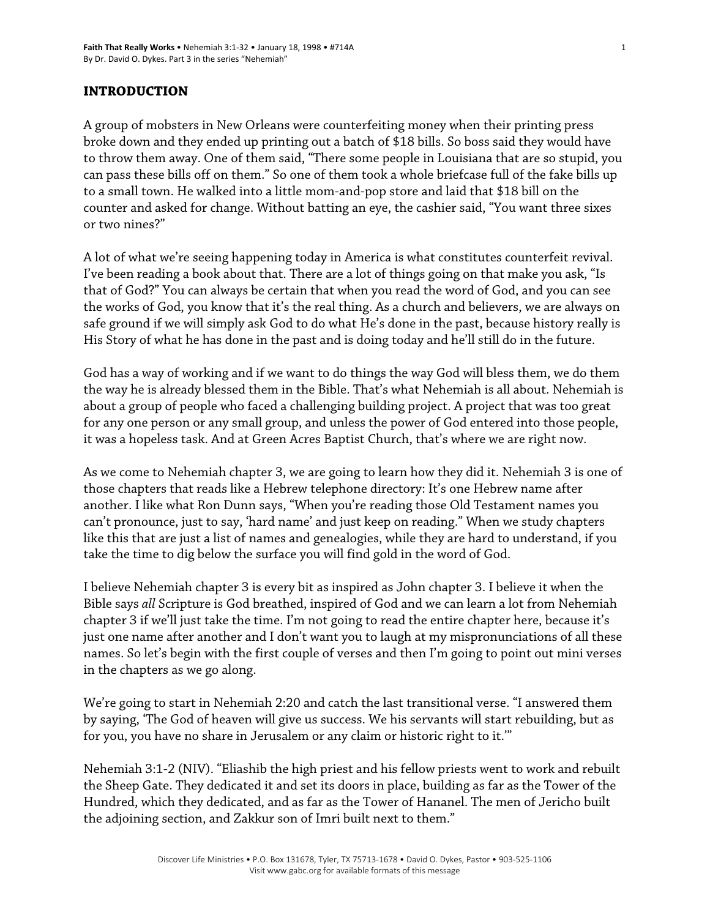#### **INTRODUCTION**

A group of mobsters in New Orleans were counterfeiting money when their printing press broke down and they ended up printing out a batch of \$18 bills. So boss said they would have to throw them away. One of them said, "There some people in Louisiana that are so stupid, you can pass these bills off on them." So one of them took a whole briefcase full of the fake bills up to a small town. He walked into a little mom-and-pop store and laid that \$18 bill on the counter and asked for change. Without batting an eye, the cashier said, "You want three sixes or two nines?"

A lot of what we're seeing happening today in America is what constitutes counterfeit revival. I've been reading a book about that. There are a lot of things going on that make you ask, "Is that of God?" You can always be certain that when you read the word of God, and you can see the works of God, you know that it's the real thing. As a church and believers, we are always on safe ground if we will simply ask God to do what He's done in the past, because history really is His Story of what he has done in the past and is doing today and he'll still do in the future.

God has a way of working and if we want to do things the way God will bless them, we do them the way he is already blessed them in the Bible. That's what Nehemiah is all about. Nehemiah is about a group of people who faced a challenging building project. A project that was too great for any one person or any small group, and unless the power of God entered into those people, it was a hopeless task. And at Green Acres Baptist Church, that's where we are right now.

As we come to Nehemiah chapter 3, we are going to learn how they did it. Nehemiah 3 is one of those chapters that reads like a Hebrew telephone directory: It's one Hebrew name after another. I like what Ron Dunn says, "When you're reading those Old Testament names you can't pronounce, just to say, 'hard name' and just keep on reading." When we study chapters like this that are just a list of names and genealogies, while they are hard to understand, if you take the time to dig below the surface you will find gold in the word of God.

I believe Nehemiah chapter 3 is every bit as inspired as John chapter 3. I believe it when the Bible says *all* Scripture is God breathed, inspired of God and we can learn a lot from Nehemiah chapter 3 if we'll just take the time. I'm not going to read the entire chapter here, because it's just one name after another and I don't want you to laugh at my mispronunciations of all these names. So let's begin with the first couple of verses and then I'm going to point out mini verses in the chapters as we go along.

We're going to start in Nehemiah 2:20 and catch the last transitional verse. "I answered them by saying, 'The God of heaven will give us success. We his servants will start rebuilding, but as for you, you have no share in Jerusalem or any claim or historic right to it.'"

Nehemiah 3:1-2 (NIV). "Eliashib the high priest and his fellow priests went to work and rebuilt the Sheep Gate. They dedicated it and set its doors in place, building as far as the Tower of the Hundred, which they dedicated, and as far as the Tower of Hananel. The men of Jericho built the adjoining section, and Zakkur son of Imri built next to them."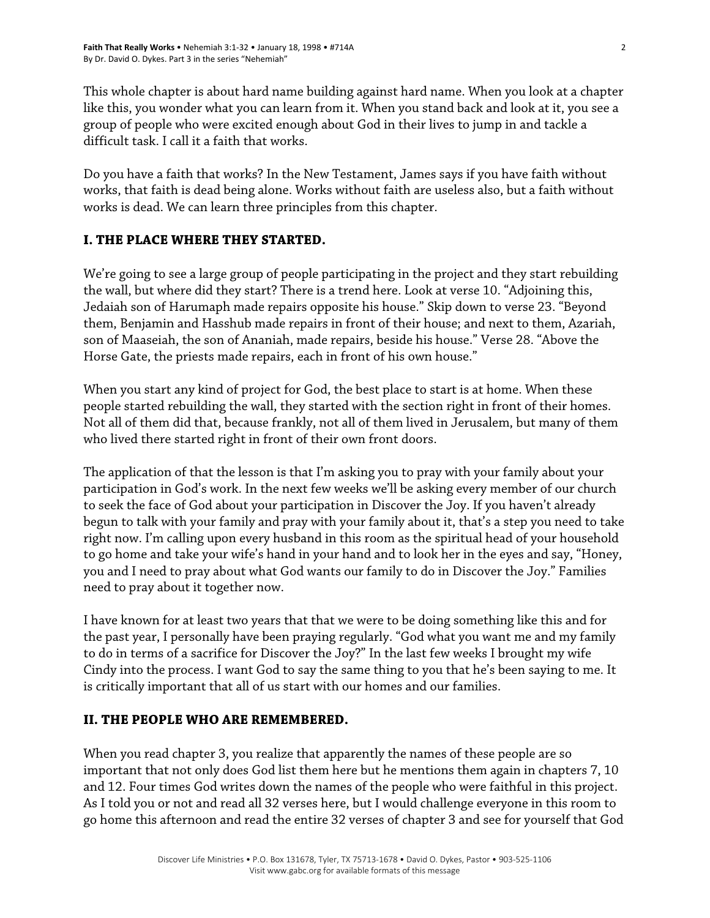This whole chapter is about hard name building against hard name. When you look at a chapter like this, you wonder what you can learn from it. When you stand back and look at it, you see a group of people who were excited enough about God in their lives to jump in and tackle a difficult task. I call it a faith that works.

Do you have a faith that works? In the New Testament, James says if you have faith without works, that faith is dead being alone. Works without faith are useless also, but a faith without works is dead. We can learn three principles from this chapter.

# **I. THE PLACE WHERE THEY STARTED.**

We're going to see a large group of people participating in the project and they start rebuilding the wall, but where did they start? There is a trend here. Look at verse 10. "Adjoining this, Jedaiah son of Harumaph made repairs opposite his house." Skip down to verse 23. "Beyond them, Benjamin and Hasshub made repairs in front of their house; and next to them, Azariah, son of Maaseiah, the son of Ananiah, made repairs, beside his house." Verse 28. "Above the Horse Gate, the priests made repairs, each in front of his own house."

When you start any kind of project for God, the best place to start is at home. When these people started rebuilding the wall, they started with the section right in front of their homes. Not all of them did that, because frankly, not all of them lived in Jerusalem, but many of them who lived there started right in front of their own front doors.

The application of that the lesson is that I'm asking you to pray with your family about your participation in God's work. In the next few weeks we'll be asking every member of our church to seek the face of God about your participation in Discover the Joy. If you haven't already begun to talk with your family and pray with your family about it, that's a step you need to take right now. I'm calling upon every husband in this room as the spiritual head of your household to go home and take your wife's hand in your hand and to look her in the eyes and say, "Honey, you and I need to pray about what God wants our family to do in Discover the Joy." Families need to pray about it together now.

I have known for at least two years that that we were to be doing something like this and for the past year, I personally have been praying regularly. "God what you want me and my family to do in terms of a sacrifice for Discover the Joy?" In the last few weeks I brought my wife Cindy into the process. I want God to say the same thing to you that he's been saying to me. It is critically important that all of us start with our homes and our families.

## **II. THE PEOPLE WHO ARE REMEMBERED.**

When you read chapter 3, you realize that apparently the names of these people are so important that not only does God list them here but he mentions them again in chapters 7, 10 and 12. Four times God writes down the names of the people who were faithful in this project. As I told you or not and read all 32 verses here, but I would challenge everyone in this room to go home this afternoon and read the entire 32 verses of chapter 3 and see for yourself that God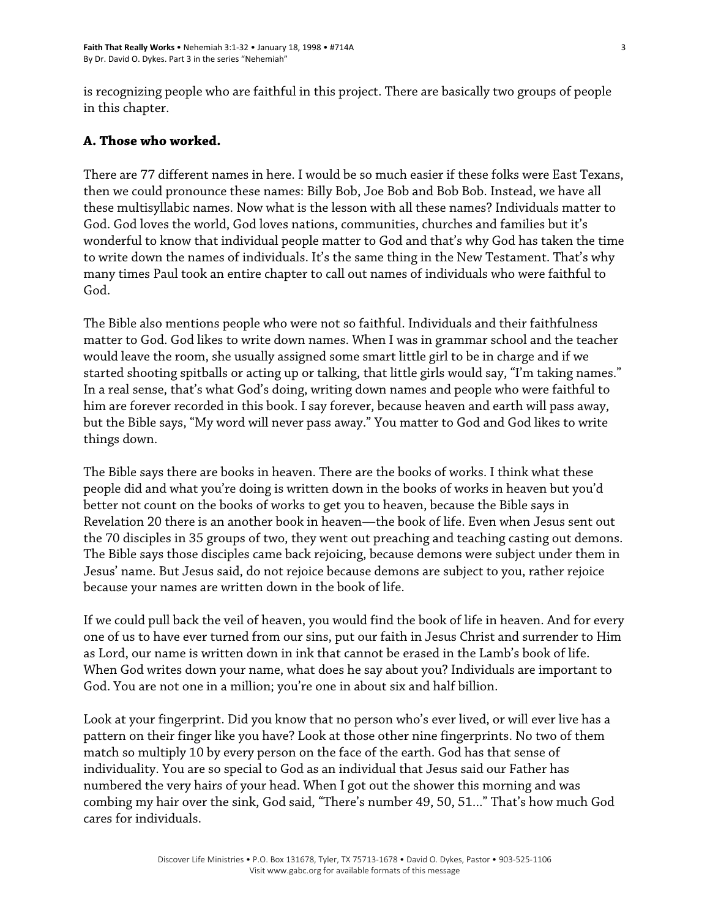is recognizing people who are faithful in this project. There are basically two groups of people in this chapter.

### **A. Those who worked.**

There are 77 different names in here. I would be so much easier if these folks were East Texans, then we could pronounce these names: Billy Bob, Joe Bob and Bob Bob. Instead, we have all these multisyllabic names. Now what is the lesson with all these names? Individuals matter to God. God loves the world, God loves nations, communities, churches and families but it's wonderful to know that individual people matter to God and that's why God has taken the time to write down the names of individuals. It's the same thing in the New Testament. That's why many times Paul took an entire chapter to call out names of individuals who were faithful to God.

The Bible also mentions people who were not so faithful. Individuals and their faithfulness matter to God. God likes to write down names. When I was in grammar school and the teacher would leave the room, she usually assigned some smart little girl to be in charge and if we started shooting spitballs or acting up or talking, that little girls would say, "I'm taking names." In a real sense, that's what God's doing, writing down names and people who were faithful to him are forever recorded in this book. I say forever, because heaven and earth will pass away, but the Bible says, "My word will never pass away." You matter to God and God likes to write things down.

The Bible says there are books in heaven. There are the books of works. I think what these people did and what you're doing is written down in the books of works in heaven but you'd better not count on the books of works to get you to heaven, because the Bible says in Revelation 20 there is an another book in heaven—the book of life. Even when Jesus sent out the 70 disciples in 35 groups of two, they went out preaching and teaching casting out demons. The Bible says those disciples came back rejoicing, because demons were subject under them in Jesus' name. But Jesus said, do not rejoice because demons are subject to you, rather rejoice because your names are written down in the book of life.

If we could pull back the veil of heaven, you would find the book of life in heaven. And for every one of us to have ever turned from our sins, put our faith in Jesus Christ and surrender to Him as Lord, our name is written down in ink that cannot be erased in the Lamb's book of life. When God writes down your name, what does he say about you? Individuals are important to God. You are not one in a million; you're one in about six and half billion.

Look at your fingerprint. Did you know that no person who's ever lived, or will ever live has a pattern on their finger like you have? Look at those other nine fingerprints. No two of them match so multiply 10 by every person on the face of the earth. God has that sense of individuality. You are so special to God as an individual that Jesus said our Father has numbered the very hairs of your head. When I got out the shower this morning and was combing my hair over the sink, God said, "There's number 49, 50, 51..." That's how much God cares for individuals.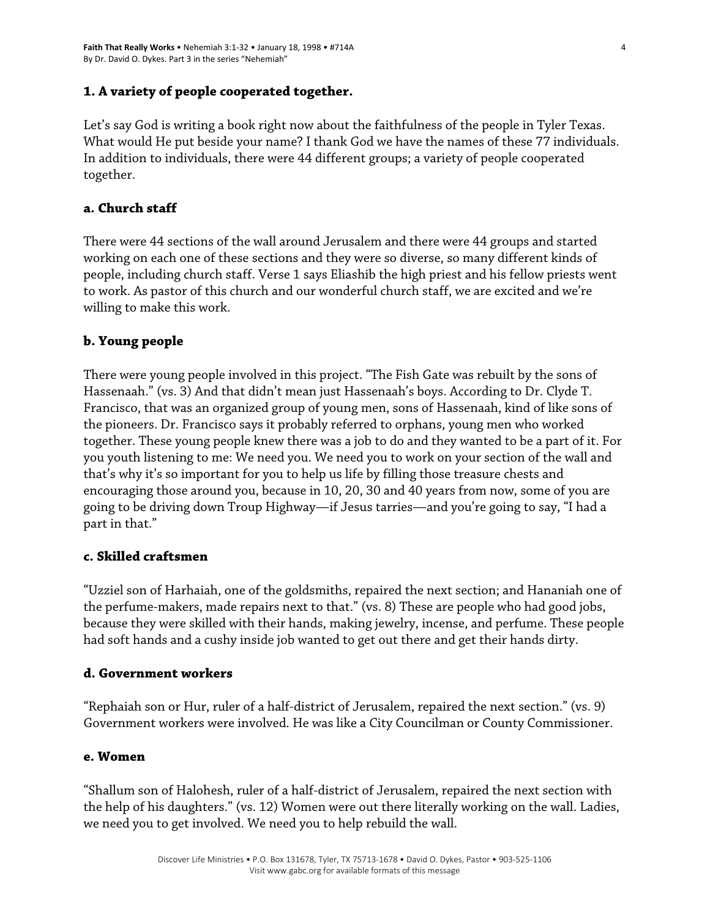## **1. A variety of people cooperated together.**

Let's say God is writing a book right now about the faithfulness of the people in Tyler Texas. What would He put beside your name? I thank God we have the names of these 77 individuals. In addition to individuals, there were 44 different groups; a variety of people cooperated together.

### **a. Church staff**

There were 44 sections of the wall around Jerusalem and there were 44 groups and started working on each one of these sections and they were so diverse, so many different kinds of people, including church staff. Verse 1 says Eliashib the high priest and his fellow priests went to work. As pastor of this church and our wonderful church staff, we are excited and we're willing to make this work.

## **b. Young people**

There were young people involved in this project. "The Fish Gate was rebuilt by the sons of Hassenaah." (vs. 3) And that didn't mean just Hassenaah's boys. According to Dr. Clyde T. Francisco, that was an organized group of young men, sons of Hassenaah, kind of like sons of the pioneers. Dr. Francisco says it probably referred to orphans, young men who worked together. These young people knew there was a job to do and they wanted to be a part of it. For you youth listening to me: We need you. We need you to work on your section of the wall and that's why it's so important for you to help us life by filling those treasure chests and encouraging those around you, because in 10, 20, 30 and 40 years from now, some of you are going to be driving down Troup Highway—if Jesus tarries—and you're going to say, "I had a part in that."

### **c. Skilled craftsmen**

"Uzziel son of Harhaiah, one of the goldsmiths, repaired the next section; and Hananiah one of the perfume-makers, made repairs next to that." (vs. 8) These are people who had good jobs, because they were skilled with their hands, making jewelry, incense, and perfume. These people had soft hands and a cushy inside job wanted to get out there and get their hands dirty.

### **d. Government workers**

"Rephaiah son or Hur, ruler of a half-district of Jerusalem, repaired the next section." (vs. 9) Government workers were involved. He was like a City Councilman or County Commissioner.

#### **e. Women**

"Shallum son of Halohesh, ruler of a half-district of Jerusalem, repaired the next section with the help of his daughters." (vs. 12) Women were out there literally working on the wall. Ladies, we need you to get involved. We need you to help rebuild the wall.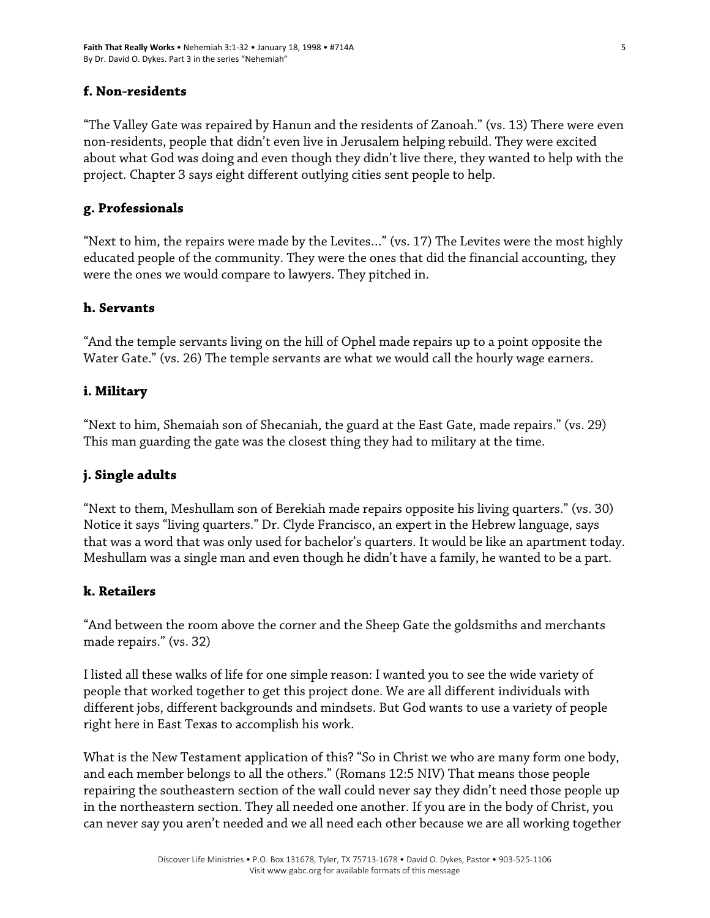## **f. Non-residents**

"The Valley Gate was repaired by Hanun and the residents of Zanoah." (vs. 13) There were even non-residents, people that didn't even live in Jerusalem helping rebuild. They were excited about what God was doing and even though they didn't live there, they wanted to help with the project. Chapter 3 says eight different outlying cities sent people to help.

### **g. Professionals**

"Next to him, the repairs were made by the Levites…" (vs. 17) The Levites were the most highly educated people of the community. They were the ones that did the financial accounting, they were the ones we would compare to lawyers. They pitched in.

### **h. Servants**

"And the temple servants living on the hill of Ophel made repairs up to a point opposite the Water Gate." (vs. 26) The temple servants are what we would call the hourly wage earners.

## **i. Military**

"Next to him, Shemaiah son of Shecaniah, the guard at the East Gate, made repairs." (vs. 29) This man guarding the gate was the closest thing they had to military at the time.

## **j. Single adults**

"Next to them, Meshullam son of Berekiah made repairs opposite his living quarters." (vs. 30) Notice it says "living quarters." Dr. Clyde Francisco, an expert in the Hebrew language, says that was a word that was only used for bachelor's quarters. It would be like an apartment today. Meshullam was a single man and even though he didn't have a family, he wanted to be a part.

### **k. Retailers**

"And between the room above the corner and the Sheep Gate the goldsmiths and merchants made repairs." (vs. 32)

I listed all these walks of life for one simple reason: I wanted you to see the wide variety of people that worked together to get this project done. We are all different individuals with different jobs, different backgrounds and mindsets. But God wants to use a variety of people right here in East Texas to accomplish his work.

What is the New Testament application of this? "So in Christ we who are many form one body, and each member belongs to all the others." (Romans 12:5 NIV) That means those people repairing the southeastern section of the wall could never say they didn't need those people up in the northeastern section. They all needed one another. If you are in the body of Christ, you can never say you aren't needed and we all need each other because we are all working together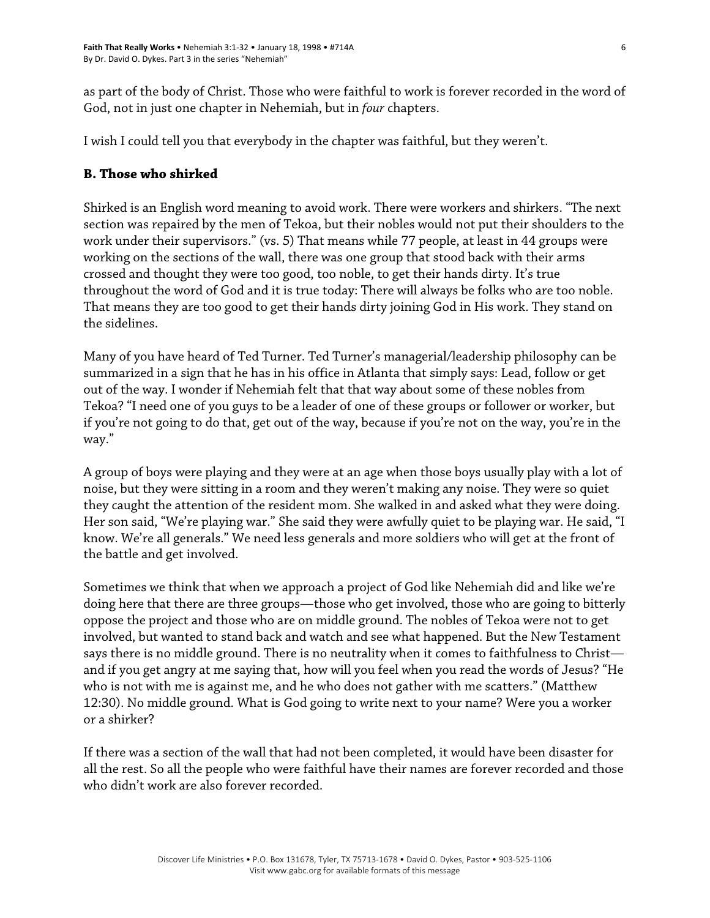as part of the body of Christ. Those who were faithful to work is forever recorded in the word of God, not in just one chapter in Nehemiah, but in *four* chapters.

I wish I could tell you that everybody in the chapter was faithful, but they weren't.

## **B. Those who shirked**

Shirked is an English word meaning to avoid work. There were workers and shirkers. "The next section was repaired by the men of Tekoa, but their nobles would not put their shoulders to the work under their supervisors." (vs. 5) That means while 77 people, at least in 44 groups were working on the sections of the wall, there was one group that stood back with their arms crossed and thought they were too good, too noble, to get their hands dirty. It's true throughout the word of God and it is true today: There will always be folks who are too noble. That means they are too good to get their hands dirty joining God in His work. They stand on the sidelines.

Many of you have heard of Ted Turner. Ted Turner's managerial/leadership philosophy can be summarized in a sign that he has in his office in Atlanta that simply says: Lead, follow or get out of the way. I wonder if Nehemiah felt that that way about some of these nobles from Tekoa? "I need one of you guys to be a leader of one of these groups or follower or worker, but if you're not going to do that, get out of the way, because if you're not on the way, you're in the way."

A group of boys were playing and they were at an age when those boys usually play with a lot of noise, but they were sitting in a room and they weren't making any noise. They were so quiet they caught the attention of the resident mom. She walked in and asked what they were doing. Her son said, "We're playing war." She said they were awfully quiet to be playing war. He said, "I know. We're all generals." We need less generals and more soldiers who will get at the front of the battle and get involved.

Sometimes we think that when we approach a project of God like Nehemiah did and like we're doing here that there are three groups—those who get involved, those who are going to bitterly oppose the project and those who are on middle ground. The nobles of Tekoa were not to get involved, but wanted to stand back and watch and see what happened. But the New Testament says there is no middle ground. There is no neutrality when it comes to faithfulness to Christ and if you get angry at me saying that, how will you feel when you read the words of Jesus? "He who is not with me is against me, and he who does not gather with me scatters." (Matthew 12:30). No middle ground. What is God going to write next to your name? Were you a worker or a shirker?

If there was a section of the wall that had not been completed, it would have been disaster for all the rest. So all the people who were faithful have their names are forever recorded and those who didn't work are also forever recorded.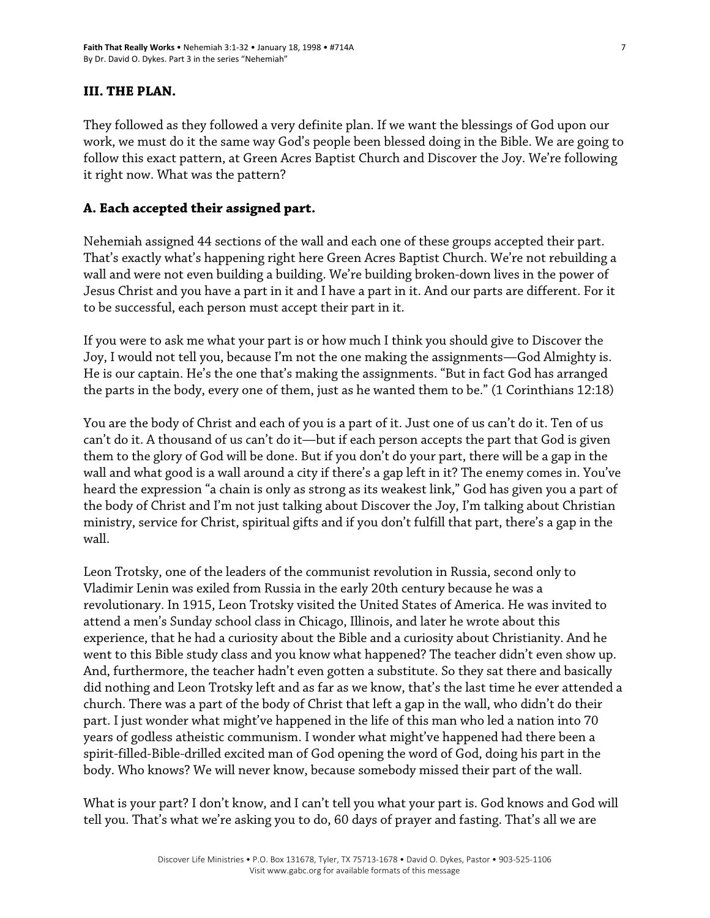### **III. THE PLAN.**

They followed as they followed a very definite plan. If we want the blessings of God upon our work, we must do it the same way God's people been blessed doing in the Bible. We are going to follow this exact pattern, at Green Acres Baptist Church and Discover the Joy. We're following it right now. What was the pattern?

## **A. Each accepted their assigned part.**

Nehemiah assigned 44 sections of the wall and each one of these groups accepted their part. That's exactly what's happening right here Green Acres Baptist Church. We're not rebuilding a wall and were not even building a building. We're building broken-down lives in the power of Jesus Christ and you have a part in it and I have a part in it. And our parts are different. For it to be successful, each person must accept their part in it.

If you were to ask me what your part is or how much I think you should give to Discover the Joy, I would not tell you, because I'm not the one making the assignments—God Almighty is. He is our captain. He's the one that's making the assignments. "But in fact God has arranged the parts in the body, every one of them, just as he wanted them to be." (1 Corinthians 12:18)

You are the body of Christ and each of you is a part of it. Just one of us can't do it. Ten of us can't do it. A thousand of us can't do it—but if each person accepts the part that God is given them to the glory of God will be done. But if you don't do your part, there will be a gap in the wall and what good is a wall around a city if there's a gap left in it? The enemy comes in. You've heard the expression "a chain is only as strong as its weakest link," God has given you a part of the body of Christ and I'm not just talking about Discover the Joy, I'm talking about Christian ministry, service for Christ, spiritual gifts and if you don't fulfill that part, there's a gap in the wall.

Leon Trotsky, one of the leaders of the communist revolution in Russia, second only to Vladimir Lenin was exiled from Russia in the early 20th century because he was a revolutionary. In 1915, Leon Trotsky visited the United States of America. He was invited to attend a men's Sunday school class in Chicago, Illinois, and later he wrote about this experience, that he had a curiosity about the Bible and a curiosity about Christianity. And he went to this Bible study class and you know what happened? The teacher didn't even show up. And, furthermore, the teacher hadn't even gotten a substitute. So they sat there and basically did nothing and Leon Trotsky left and as far as we know, that's the last time he ever attended a church. There was a part of the body of Christ that left a gap in the wall, who didn't do their part. I just wonder what might've happened in the life of this man who led a nation into 70 years of godless atheistic communism. I wonder what might've happened had there been a spirit-filled-Bible-drilled excited man of God opening the word of God, doing his part in the body. Who knows? We will never know, because somebody missed their part of the wall.

What is your part? I don't know, and I can't tell you what your part is. God knows and God will tell you. That's what we're asking you to do, 60 days of prayer and fasting. That's all we are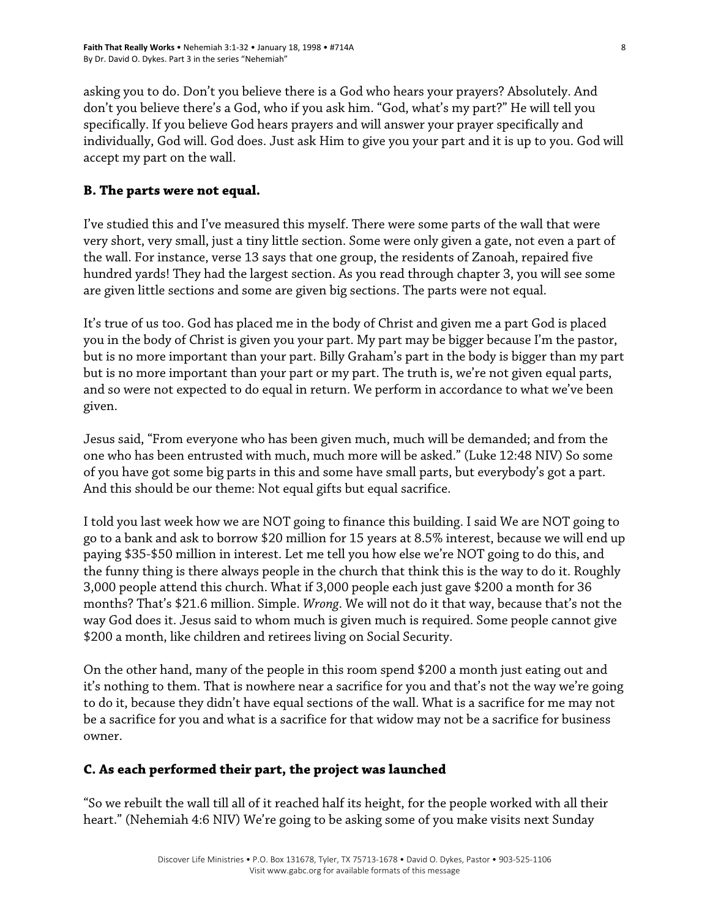asking you to do. Don't you believe there is a God who hears your prayers? Absolutely. And don't you believe there's a God, who if you ask him. "God, what's my part?" He will tell you specifically. If you believe God hears prayers and will answer your prayer specifically and individually, God will. God does. Just ask Him to give you your part and it is up to you. God will accept my part on the wall.

# **B. The parts were not equal.**

I've studied this and I've measured this myself. There were some parts of the wall that were very short, very small, just a tiny little section. Some were only given a gate, not even a part of the wall. For instance, verse 13 says that one group, the residents of Zanoah, repaired five hundred yards! They had the largest section. As you read through chapter 3, you will see some are given little sections and some are given big sections. The parts were not equal.

It's true of us too. God has placed me in the body of Christ and given me a part God is placed you in the body of Christ is given you your part. My part may be bigger because I'm the pastor, but is no more important than your part. Billy Graham's part in the body is bigger than my part but is no more important than your part or my part. The truth is, we're not given equal parts, and so were not expected to do equal in return. We perform in accordance to what we've been given.

Jesus said, "From everyone who has been given much, much will be demanded; and from the one who has been entrusted with much, much more will be asked." (Luke 12:48 NIV) So some of you have got some big parts in this and some have small parts, but everybody's got a part. And this should be our theme: Not equal gifts but equal sacrifice.

I told you last week how we are NOT going to finance this building. I said We are NOT going to go to a bank and ask to borrow \$20 million for 15 years at 8.5% interest, because we will end up paying \$35-\$50 million in interest. Let me tell you how else we're NOT going to do this, and the funny thing is there always people in the church that think this is the way to do it. Roughly 3,000 people attend this church. What if 3,000 people each just gave \$200 a month for 36 months? That's \$21.6 million. Simple. *Wrong*. We will not do it that way, because that's not the way God does it. Jesus said to whom much is given much is required. Some people cannot give \$200 a month, like children and retirees living on Social Security.

On the other hand, many of the people in this room spend \$200 a month just eating out and it's nothing to them. That is nowhere near a sacrifice for you and that's not the way we're going to do it, because they didn't have equal sections of the wall. What is a sacrifice for me may not be a sacrifice for you and what is a sacrifice for that widow may not be a sacrifice for business owner.

## **C. As each performed their part, the project was launched**

"So we rebuilt the wall till all of it reached half its height, for the people worked with all their heart." (Nehemiah 4:6 NIV) We're going to be asking some of you make visits next Sunday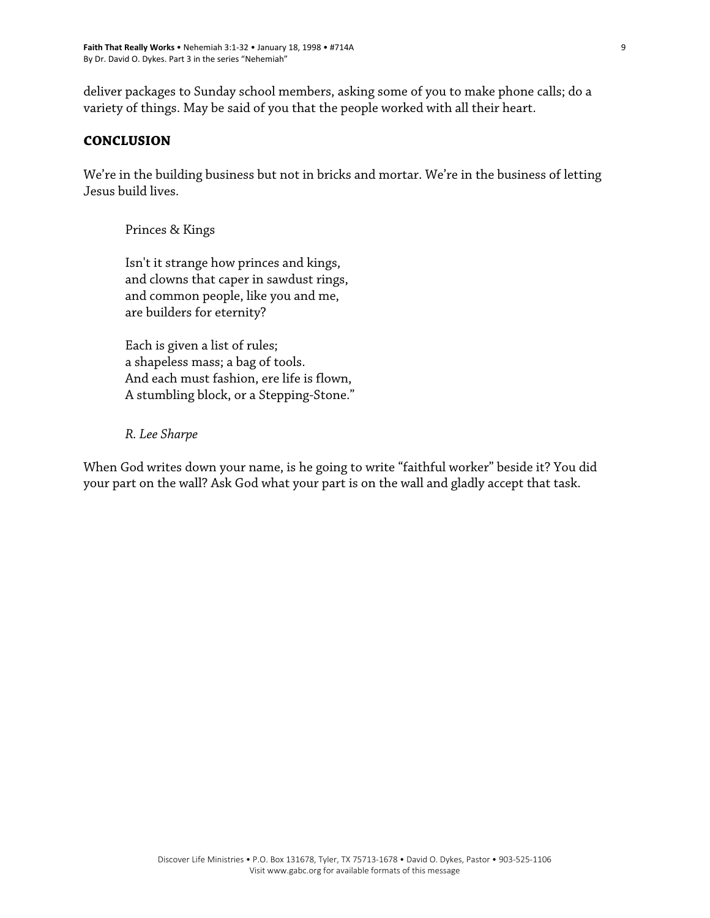deliver packages to Sunday school members, asking some of you to make phone calls; do a variety of things. May be said of you that the people worked with all their heart.

### **CONCLUSION**

We're in the building business but not in bricks and mortar. We're in the business of letting Jesus build lives.

Princes & Kings

Isn't it strange how princes and kings, and clowns that caper in sawdust rings, and common people, like you and me, are builders for eternity?

Each is given a list of rules; a shapeless mass; a bag of tools. And each must fashion, ere life is flown, A stumbling block, or a Stepping-Stone."

*R. Lee Sharpe* 

When God writes down your name, is he going to write "faithful worker" beside it? You did your part on the wall? Ask God what your part is on the wall and gladly accept that task.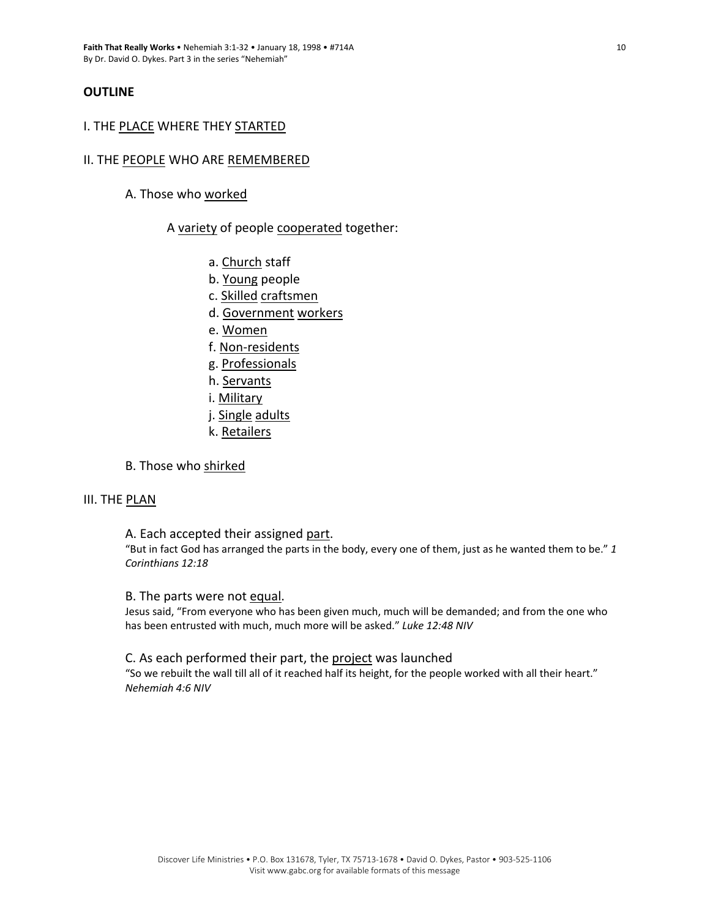#### **OUTLINE**

#### I. THE PLACE WHERE THEY STARTED

#### II. THE PEOPLE WHO ARE REMEMBERED

A. Those who worked

#### A variety of people cooperated together:

- a. Church staff
- b. Young people
- c. Skilled craftsmen
- d. Government workers
- e. Women
- f. Non‐residents
- g. Professionals
- h. Servants
- i. Military
- j. Single adults
- k. Retailers

#### B. Those who shirked

#### III. THE PLAN

#### A. Each accepted their assigned part.

"But in fact God has arranged the parts in the body, every one of them, just as he wanted them to be." *1 Corinthians 12:18*

#### B. The parts were not equal.

Jesus said, "From everyone who has been given much, much will be demanded; and from the one who has been entrusted with much, much more will be asked." *Luke 12:48 NIV*

#### C. As each performed their part, the project was launched

"So we rebuilt the wall till all of it reached half its height, for the people worked with all their heart." *Nehemiah 4:6 NIV*